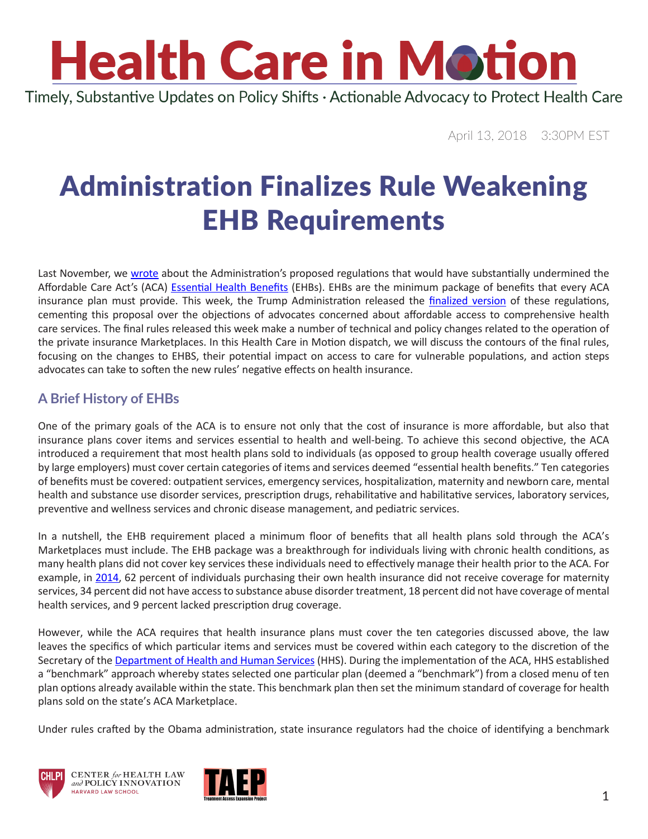# **Health Care in Motion**

Timely, Substantive Updates on Policy Shifts · Actionable Advocacy to Protect Health Care

April 13, 2018 3:30PM EST

### Administration Finalizes Rule Weakening EHB Requirements

Last November, we [wrote](https://www.chlpi.org/wp-content/uploads/2013/12/HCIM_11_21_2017.pdf) about the Administration's proposed regulations that would have substantially undermined the Affordable Care Act's (ACA) [Essential Health Benefits](https://www.healthcare.gov/coverage/what-marketplace-plans-cover/) (EHBs). EHBs are the minimum package of benefits that every ACA insurance plan must provide. This week, the Trump Administration released the [finalized version](https://s3.amazonaws.com/public-inspection.federalregister.gov/2018-07355.pdf) of these regulations, cementing this proposal over the objections of advocates concerned about affordable access to comprehensive health care services. The final rules released this week make a number of technical and policy changes related to the operation of the private insurance Marketplaces. In this Health Care in Motion dispatch, we will discuss the contours of the final rules, focusing on the changes to EHBS, their potential impact on access to care for vulnerable populations, and action steps advocates can take to soften the new rules' negative effects on health insurance.

#### **A Brief History of EHBs**

One of the primary goals of the ACA is to ensure not only that the cost of insurance is more affordable, but also that insurance plans cover items and services essential to health and well-being. To achieve this second objective, the ACA introduced a requirement that most health plans sold to individuals (as opposed to group health coverage usually offered by large employers) must cover certain categories of items and services deemed "essential health benefits." Ten categories of benefits must be covered: outpatient services, emergency services, hospitalization, maternity and newborn care, mental health and substance use disorder services, prescription drugs, rehabilitative and habilitative services, laboratory services, preventive and wellness services and chronic disease management, and pediatric services.

In a nutshell, the EHB requirement placed a minimum floor of benefits that all health plans sold through the ACA's Marketplaces must include. The EHB package was a breakthrough for individuals living with chronic health conditions, as many health plans did not cover key services these individuals need to effectively manage their health prior to the ACA. For example, in [2014](https://aspe.hhs.gov/basic-report/essential-health-benefits-individual-market-coverage#_edn2), 62 percent of individuals purchasing their own health insurance did not receive coverage for maternity services, 34 percent did not have access to substance abuse disorder treatment, 18 percent did not have coverage of mental health services, and 9 percent lacked prescription drug coverage.

However, while the ACA requires that health insurance plans must cover the ten categories discussed above, the law leaves the specifics of which particular items and services must be covered within each category to the discretion of the Secretary of the [Department of Health and Human Services](https://www.hhs.gov/) (HHS). During the implementation of the ACA, HHS established a "benchmark" approach whereby states selected one particular plan (deemed a "benchmark") from a closed menu of ten plan options already available within the state. This benchmark plan then set the minimum standard of coverage for health plans sold on the state's ACA Marketplace.

Under rules crafted by the Obama administration, state insurance regulators had the choice of identifying a benchmark





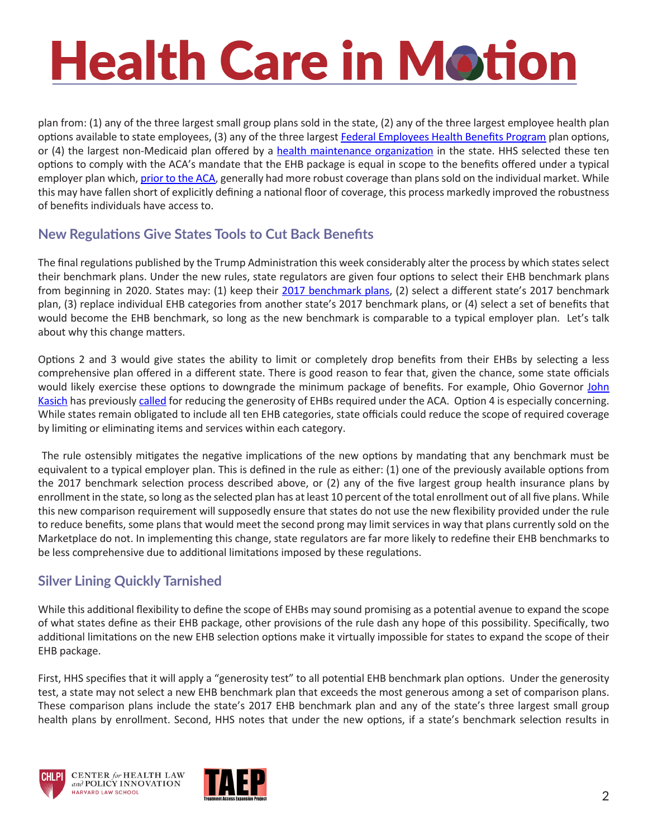## **Health Care in Motion**

plan from: (1) any of the three largest small group plans sold in the state, (2) any of the three largest employee health plan options available to state employees, (3) any of the three largest [Federal Employees Health Benefits Program](https://www.opm.gov/healthcare-insurance/healthcare/) plan options, or (4) the largest non-Medicaid plan offered by a [health maintenance organization](https://www.healthcare.gov/glossary/health-maintenance-organization-hmo/) in the state. HHS selected these ten options to comply with the ACA's mandate that the EHB package is equal in scope to the benefits offered under a typical employer plan which, [prior to the ACA,](https://www.kff.org/health-costs/issue-brief/pre-aca-market-practices-provide-lessons-for-aca-replacement-approaches/) generally had more robust coverage than plans sold on the individual market. While this may have fallen short of explicitly defining a national floor of coverage, this process markedly improved the robustness of benefits individuals have access to.

#### **New Regulations Give States Tools to Cut Back Benefits**

The final regulations published by the Trump Administration this week considerably alter the process by which states select their benchmark plans. Under the new rules, state regulators are given four options to select their EHB benchmark plans from beginning in 2020. States may: (1) keep their [2017 benchmark plans](https://www.cms.gov/cciio/resources/data-resources/ehb.html), (2) select a different state's 2017 benchmark plan, (3) replace individual EHB categories from another state's 2017 benchmark plans, or (4) select a set of benefits that would become the EHB benchmark, so long as the new benchmark is comparable to a typical employer plan. Let's talk about why this change matters.

Options 2 and 3 would give states the ability to limit or completely drop benefits from their EHBs by selecting a less comprehensive plan offered in a different state. There is good reason to fear that, given the chance, some state officials would likely exercise these options to downgrade the minimum package of benefits. For example, Ohio Governor John [Kasich](http://www.governor.ohio.gov/Contact/Contact-the-Governor) has previously [called](https://www.washingtonexaminer.com/govs-kasich-hickenlooper-urge-state-flexibility-on-obamacare/article/2633822) for reducing the generosity of EHBs required under the ACA. Option 4 is especially concerning. While states remain obligated to include all ten EHB categories, state officials could reduce the scope of required coverage by limiting or eliminating items and services within each category.

 The rule ostensibly mitigates the negative implications of the new options by mandating that any benchmark must be equivalent to a typical employer plan. This is defined in the rule as either: (1) one of the previously available options from the 2017 benchmark selection process described above, or (2) any of the five largest group health insurance plans by enrollment in the state, so long as the selected plan has at least 10 percent of the total enrollment out of all five plans. While this new comparison requirement will supposedly ensure that states do not use the new flexibility provided under the rule to reduce benefits, some plans that would meet the second prong may limit services in way that plans currently sold on the Marketplace do not. In implementing this change, state regulators are far more likely to redefine their EHB benchmarks to be less comprehensive due to additional limitations imposed by these regulations.

#### **Silver Lining Quickly Tarnished**

While this additional flexibility to define the scope of EHBs may sound promising as a potential avenue to expand the scope of what states define as their EHB package, other provisions of the rule dash any hope of this possibility. Specifically, two additional limitations on the new EHB selection options make it virtually impossible for states to expand the scope of their EHB package.

First, HHS specifies that it will apply a "generosity test" to all potential EHB benchmark plan options. Under the generosity test, a state may not select a new EHB benchmark plan that exceeds the most generous among a set of comparison plans. These comparison plans include the state's 2017 EHB benchmark plan and any of the state's three largest small group health plans by enrollment. Second, HHS notes that under the new options, if a state's benchmark selection results in